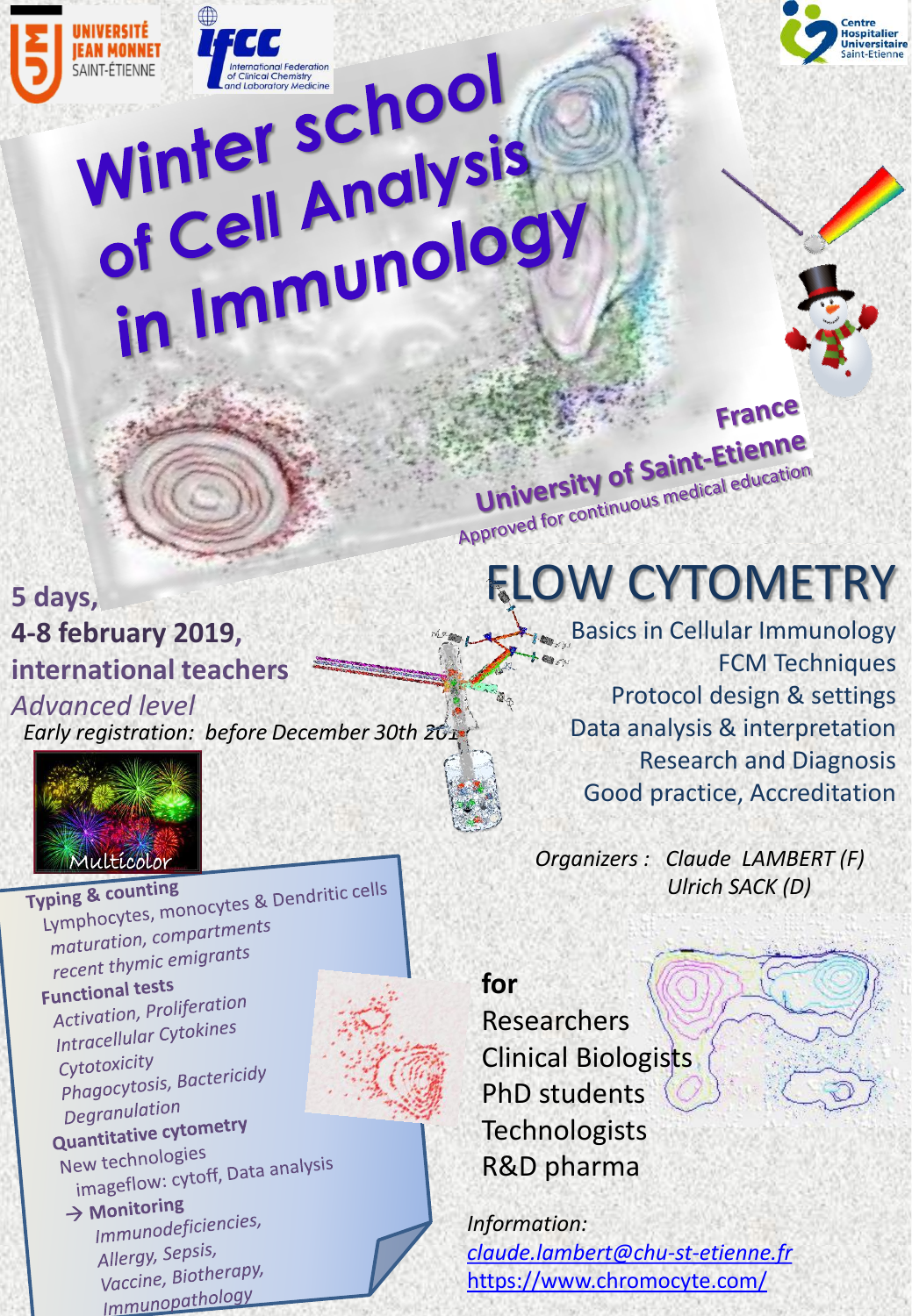

## FAN MONNET International Federation Winter Scholysis<br>of Cell Analysis of Cell Andly<br>in Immunology

## **5 days, 4-8 february 2019, international teachers**

*Advanced level Early registration: before December 30th 2017*



JNIVERSITÉ

**EAN MONNET** 

Typing & counting<br>Typing & counting<br>Lymphocytes, monocytes & Dendritic cells ymphocytes, moneer,<br>maturation, compartments maturation, comparements **Functional tests** unctional lesses<br>Activation, Proliferation Activation, From,<br>Intracellular Cytokines Cytotoxicity Cytotoxicity<br>Phagocytosis, Bactericidy Degranulation Degratulation<br>Quantitative cytometry New technologies ew technologies<br>imageflow: cytoff, Data analysis<br>inc  $\rightarrow$  Monitoring **Monitorms**<br>Immunodeficiencies, Allergy, Sepsis, Niergy, Sepan<br>Vaccine, Biotherapy,

Immunopathology

**for**  Researchers Clinical Biologists PhD students **Technologists** R&D pharma

*Information: [claude.lambert@chu-st-etienne.fr](mailto:Claude.lambert@chu-st-etienne.fr)* <https://www.chromocyte.com/>

University of Saint-Etlerman<br>Approved for continuous medical education FLOW CYTOMETRY

University of Saint-Etienne

**Basics in Cellular Immunology** FCM Techniques Protocol design & settings Data analysis & interpretation Research and Diagnosis Good practice, Accreditation

France

*Organizers : Claude LAMBERT (F) Ulrich SACK (D)*